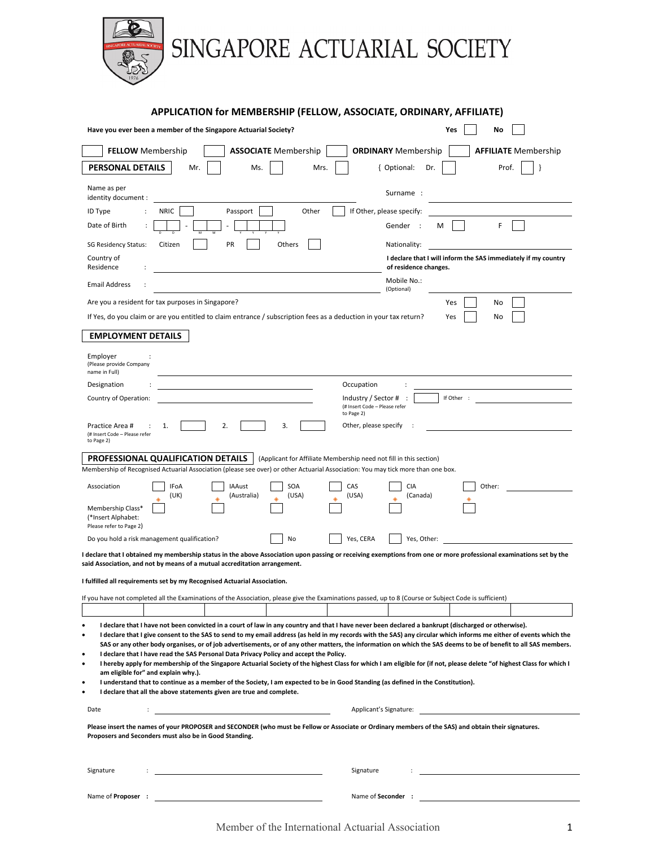

SINGAPORE ACTUARIAL SOCIETY

|                                                                                                                                                                                                                                                                   | APPLICATION for MEMBERSHIP (FELLOW, ASSOCIATE, ORDINARY, AFFILIATE)                                                                                                                                                                                                                                                                                                                                                                                                                                             |
|-------------------------------------------------------------------------------------------------------------------------------------------------------------------------------------------------------------------------------------------------------------------|-----------------------------------------------------------------------------------------------------------------------------------------------------------------------------------------------------------------------------------------------------------------------------------------------------------------------------------------------------------------------------------------------------------------------------------------------------------------------------------------------------------------|
| Have you ever been a member of the Singapore Actuarial Society?                                                                                                                                                                                                   | Yes<br>No                                                                                                                                                                                                                                                                                                                                                                                                                                                                                                       |
| <b>FELLOW</b> Membership<br><b>ASSOCIATE</b> Membership                                                                                                                                                                                                           | <b>ORDINARY</b> Membership<br><b>AFFILIATE</b> Membership                                                                                                                                                                                                                                                                                                                                                                                                                                                       |
| PERSONAL DETAILS<br>Mr.<br>Ms.<br>Mrs.                                                                                                                                                                                                                            | { Optional:<br>Dr.<br>Prof.                                                                                                                                                                                                                                                                                                                                                                                                                                                                                     |
| Name as per<br>identity document :                                                                                                                                                                                                                                | Surname:                                                                                                                                                                                                                                                                                                                                                                                                                                                                                                        |
| Other<br>ID Type<br><b>NRIC</b><br>Passport                                                                                                                                                                                                                       | If Other, please specify:                                                                                                                                                                                                                                                                                                                                                                                                                                                                                       |
| Date of Birth                                                                                                                                                                                                                                                     | Gender<br>F<br>м                                                                                                                                                                                                                                                                                                                                                                                                                                                                                                |
| PR<br><b>SG Residency Status:</b><br>Citizen<br>Others                                                                                                                                                                                                            | Nationality:                                                                                                                                                                                                                                                                                                                                                                                                                                                                                                    |
| Country of<br>Residence                                                                                                                                                                                                                                           | I declare that I will inform the SAS immediately if my country<br>of residence changes.                                                                                                                                                                                                                                                                                                                                                                                                                         |
| <b>Email Address</b>                                                                                                                                                                                                                                              | Mobile No.:<br>(Optional)                                                                                                                                                                                                                                                                                                                                                                                                                                                                                       |
| Are you a resident for tax purposes in Singapore?                                                                                                                                                                                                                 | Yes<br>No                                                                                                                                                                                                                                                                                                                                                                                                                                                                                                       |
| If Yes, do you claim or are you entitled to claim entrance / subscription fees as a deduction in your tax return?                                                                                                                                                 | Yes<br>No                                                                                                                                                                                                                                                                                                                                                                                                                                                                                                       |
| <b>EMPLOYMENT DETAILS</b>                                                                                                                                                                                                                                         |                                                                                                                                                                                                                                                                                                                                                                                                                                                                                                                 |
| Employer<br>(Please provide Company<br>name in Full)                                                                                                                                                                                                              |                                                                                                                                                                                                                                                                                                                                                                                                                                                                                                                 |
| Designation                                                                                                                                                                                                                                                       | Occupation                                                                                                                                                                                                                                                                                                                                                                                                                                                                                                      |
| Country of Operation:                                                                                                                                                                                                                                             | Industry / Sector #<br>If Other :<br>(# Insert Code - Please refer<br>to Page 2)                                                                                                                                                                                                                                                                                                                                                                                                                                |
| Practice Area #<br>1.<br>2.<br>3.<br>(# Insert Code - Please refer<br>to Page 2)                                                                                                                                                                                  | Other, please specify                                                                                                                                                                                                                                                                                                                                                                                                                                                                                           |
| PROFESSIONAL QUALIFICATION DETAILS                                                                                                                                                                                                                                | (Applicant for Affiliate Membership need not fill in this section)                                                                                                                                                                                                                                                                                                                                                                                                                                              |
| Membership of Recognised Actuarial Association (please see over) or other Actuarial Association: You may tick more than one box.                                                                                                                                  |                                                                                                                                                                                                                                                                                                                                                                                                                                                                                                                 |
| SOA<br>Association<br>IFoA<br>IAAust<br>(Australia)<br>(USA)<br>(UK)<br>Membership Class*                                                                                                                                                                         | CAS<br><b>CIA</b><br>Other:<br>(USA)<br>(Canada)                                                                                                                                                                                                                                                                                                                                                                                                                                                                |
| (*Insert Alphabet:<br>Please refer to Page 2)                                                                                                                                                                                                                     |                                                                                                                                                                                                                                                                                                                                                                                                                                                                                                                 |
| Do you hold a risk management qualification?<br>No                                                                                                                                                                                                                | Yes, CERA<br>Yes, Other:                                                                                                                                                                                                                                                                                                                                                                                                                                                                                        |
| said Association, and not by means of a mutual accreditation arrangement.                                                                                                                                                                                         | I declare that I obtained my membership status in the above Association upon passing or receiving exemptions from one or more professional examinations set by the                                                                                                                                                                                                                                                                                                                                              |
| I fulfilled all requirements set by my Recognised Actuarial Association.                                                                                                                                                                                          |                                                                                                                                                                                                                                                                                                                                                                                                                                                                                                                 |
| If you have not completed all the Examinations of the Association, please give the Examinations passed, up to 8 (Course or Subject Code is sufficient)                                                                                                            |                                                                                                                                                                                                                                                                                                                                                                                                                                                                                                                 |
|                                                                                                                                                                                                                                                                   |                                                                                                                                                                                                                                                                                                                                                                                                                                                                                                                 |
| I declare that I have not been convicted in a court of law in any country and that I have never been declared a bankrupt (discharged or otherwise).<br>٠<br>٠<br>I declare that I have read the SAS Personal Data Privacy Policy and accept the Policy.<br>٠<br>٠ | I declare that I give consent to the SAS to send to my email address (as held in my records with the SAS) any circular which informs me either of events which the<br>SAS or any other body organises, or of job advertisements, or of any other matters, the information on which the SAS deems to be of benefit to all SAS members.<br>I hereby apply for membership of the Singapore Actuarial Society of the highest Class for which I am eligible for (if not, please delete "of highest Class for which I |
| am eligible for" and explain why.).                                                                                                                                                                                                                               |                                                                                                                                                                                                                                                                                                                                                                                                                                                                                                                 |
| I understand that to continue as a member of the Society, I am expected to be in Good Standing (as defined in the Constitution).<br>٠<br>I declare that all the above statements given are true and complete.<br>$\bullet$                                        |                                                                                                                                                                                                                                                                                                                                                                                                                                                                                                                 |
| Date                                                                                                                                                                                                                                                              | Applicant's Signature:                                                                                                                                                                                                                                                                                                                                                                                                                                                                                          |
| Please insert the names of your PROPOSER and SECONDER (who must be Fellow or Associate or Ordinary members of the SAS) and obtain their signatures.<br>Proposers and Seconders must also be in Good Standing.                                                     |                                                                                                                                                                                                                                                                                                                                                                                                                                                                                                                 |
|                                                                                                                                                                                                                                                                   |                                                                                                                                                                                                                                                                                                                                                                                                                                                                                                                 |
| Signature                                                                                                                                                                                                                                                         | Signature                                                                                                                                                                                                                                                                                                                                                                                                                                                                                                       |
| Name of <b>Proposer</b> :                                                                                                                                                                                                                                         | Name of Seconder :                                                                                                                                                                                                                                                                                                                                                                                                                                                                                              |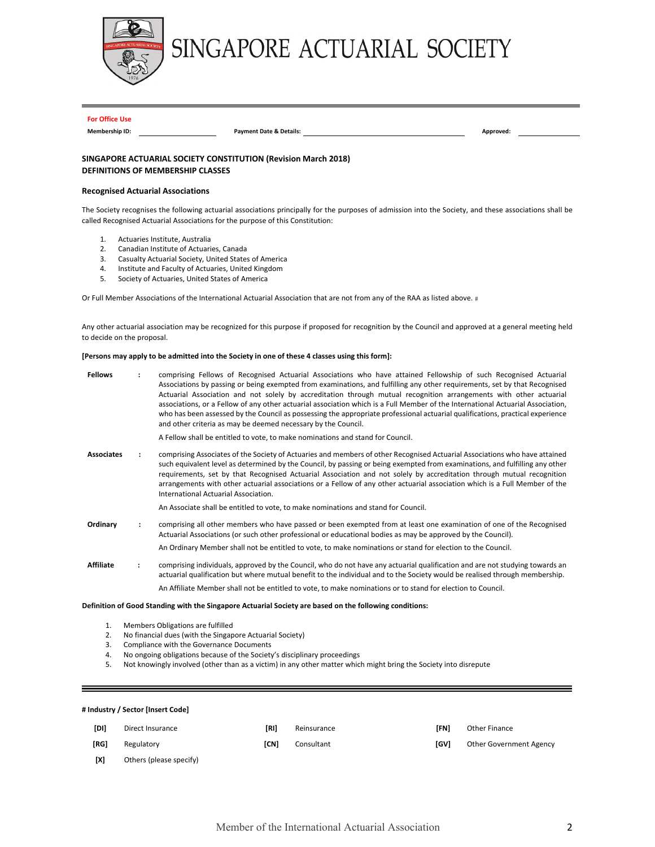

# SINGAPORE ACTUARIAL SOCIETY

#### **For Office Use**

**Membership ID: Payment Date & Details: Approved:** 

## **SINGAPORE ACTUARIAL SOCIETY CONSTITUTION (Revision March 2018) DEFINITIONS OF MEMBERSHIP CLASSES**

#### **Recognised Actuarial Associations**

The Society recognises the following actuarial associations principally for the purposes of admission into the Society, and these associations shall be called Recognised Actuarial Associations for the purpose of this Constitution:

- 1. Actuaries Institute, Australia
- 2. Canadian Institute of Actuaries, Canada
- 3. Casualty Actuarial Society, United States of America
- 4. Institute and Faculty of Actuaries, United Kingdom
- 5. Society of Actuaries, United States of America

Or Full Member Associations of the International Actuarial Association that are not from any of the RAA as listed above. #

Any other actuarial association may be recognized for this purpose if proposed for recognition by the Council and approved at a general meeting held to decide on the proposal.

#### **[Persons may apply to be admitted into the Society in one of these 4 classes using this form]:**

| <b>Fellows</b>    | comprising Fellows of Recognised Actuarial Associations who have attained Fellowship of such Recognised Actuarial<br>Associations by passing or being exempted from examinations, and fulfilling any other requirements, set by that Recognised<br>Actuarial Association and not solely by accreditation through mutual recognition arrangements with other actuarial<br>associations, or a Fellow of any other actuarial association which is a Full Member of the International Actuarial Association,<br>who has been assessed by the Council as possessing the appropriate professional actuarial qualifications, practical experience<br>and other criteria as may be deemed necessary by the Council. |
|-------------------|-------------------------------------------------------------------------------------------------------------------------------------------------------------------------------------------------------------------------------------------------------------------------------------------------------------------------------------------------------------------------------------------------------------------------------------------------------------------------------------------------------------------------------------------------------------------------------------------------------------------------------------------------------------------------------------------------------------|
|                   | A Fellow shall be entitled to vote, to make nominations and stand for Council.                                                                                                                                                                                                                                                                                                                                                                                                                                                                                                                                                                                                                              |
| <b>Associates</b> | comprising Associates of the Society of Actuaries and members of other Recognised Actuarial Associations who have attained<br>such equivalent level as determined by the Council, by passing or being exempted from examinations, and fulfilling any other<br>requirements, set by that Recognised Actuarial Association and not solely by accreditation through mutual recognition<br>arrangements with other actuarial associations or a Fellow of any other actuarial association which is a Full Member of the<br>International Actuarial Association.                                                                                                                                                  |
|                   | An Associate shall be entitled to vote, to make nominations and stand for Council.                                                                                                                                                                                                                                                                                                                                                                                                                                                                                                                                                                                                                          |
| Ordinary          | comprising all other members who have passed or been exempted from at least one examination of one of the Recognised<br>Actuarial Associations (or such other professional or educational bodies as may be approved by the Council).                                                                                                                                                                                                                                                                                                                                                                                                                                                                        |
|                   | An Ordinary Member shall not be entitled to vote, to make nominations or stand for election to the Council.                                                                                                                                                                                                                                                                                                                                                                                                                                                                                                                                                                                                 |
| <b>Affiliate</b>  | comprising individuals, approved by the Council, who do not have any actuarial qualification and are not studying towards an<br>actuarial qualification but where mutual benefit to the individual and to the Society would be realised through membership.                                                                                                                                                                                                                                                                                                                                                                                                                                                 |
|                   | An Affiliate Member shall not be entitled to vote, to make nominations or to stand for election to Council.                                                                                                                                                                                                                                                                                                                                                                                                                                                                                                                                                                                                 |

#### **Definition of Good Standing with the Singapore Actuarial Society are based on the following conditions:**

- 1. Members Obligations are fulfilled
- 2. No financial dues (with the Singapore Actuarial Society)
- 3. Compliance with the Governance Documents
- 4. No ongoing obligations because of the Society's disciplinary proceedings
- 5. Not knowingly involved (other than as a victim) in any other matter which might bring the Society into disrepute

#### **# Industry / Sector [Insert Code]**

| <b>TDII</b> | Direct Insurance        | [RI] | Reinsurance | [FN] | Other Finance           |
|-------------|-------------------------|------|-------------|------|-------------------------|
| [RG]        | Regulatory              | [CN] | Consultant  | [GV] | Other Government Agency |
| [X]         | Others (please specify) |      |             |      |                         |